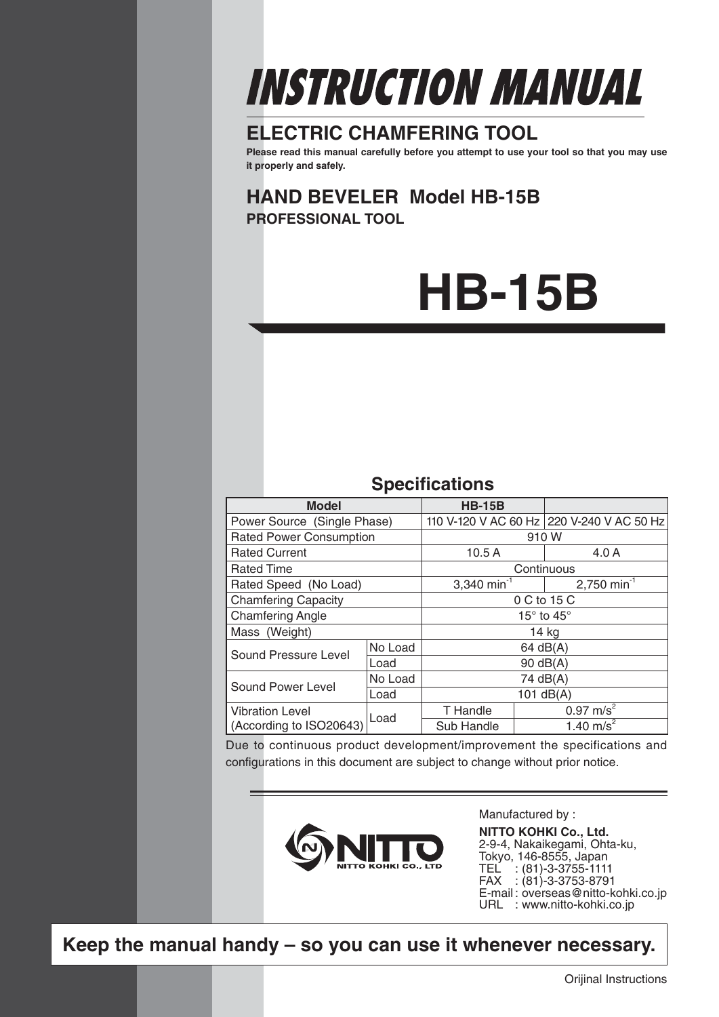# INSTRUCTION MANUAL

# **ELECTRIC CHAMFERING TOOL**

**Please read this manual carefully before you attempt to use your tool so that you may use it properly and safely.**

**HAND BEVELER Model HB-15B PROFESSIONAL TOOL**

# **HB-15B**

# **Specifications**

| <b>Model</b>                   | <b>HB-15B</b> |                              |            |                                           |
|--------------------------------|---------------|------------------------------|------------|-------------------------------------------|
| Power Source (Single Phase)    |               |                              |            | 110 V-120 V AC 60 Hz 220 V-240 V AC 50 Hz |
| <b>Rated Power Consumption</b> |               | 910 W                        |            |                                           |
| <b>Rated Current</b>           |               | 10.5A                        |            | 4.0A                                      |
| <b>Rated Time</b>              |               |                              | Continuous |                                           |
| Rated Speed (No Load)          |               | 3,340 min <sup>-1</sup>      |            | $2,750$ min <sup>-1</sup>                 |
| <b>Chamfering Capacity</b>     |               | 0 C to 15 C                  |            |                                           |
| <b>Chamfering Angle</b>        |               | 15 $\degree$ to 45 $\degree$ |            |                                           |
| Mass (Weight)                  |               | 14 kg                        |            |                                           |
| Sound Pressure Level           | No Load       | $64$ dB(A)                   |            |                                           |
|                                | Load          | $90 \text{ dB}(A)$           |            |                                           |
| Sound Power Level              | No Load       | 74 dB(A)                     |            |                                           |
|                                | Load          | 101 $dB(A)$                  |            |                                           |
| <b>Vibration Level</b>         |               | T Handle                     |            | $0.97 \text{ m/s}^2$                      |
| (According to ISO20643)        | Load          | Sub Handle                   |            | 1.40 m/s <sup>2</sup>                     |

Due to continuous product development/improvement the specifications and configurations in this document are subject to change without prior notice.



Manufactured by :

**NITTO KOHKI Co., Ltd.** 2-9-4, Nakaikegami, Ohta-ku, Tokyo, 146-8555, Japan TEL : (81)-3-3755-1111 FAX : (81)-3-3753-8791 E-mail: overseas@nitto-kohki.co.jp URL : www.nitto-kohki.co.jp

**Keep the manual handy – so you can use it whenever necessary.**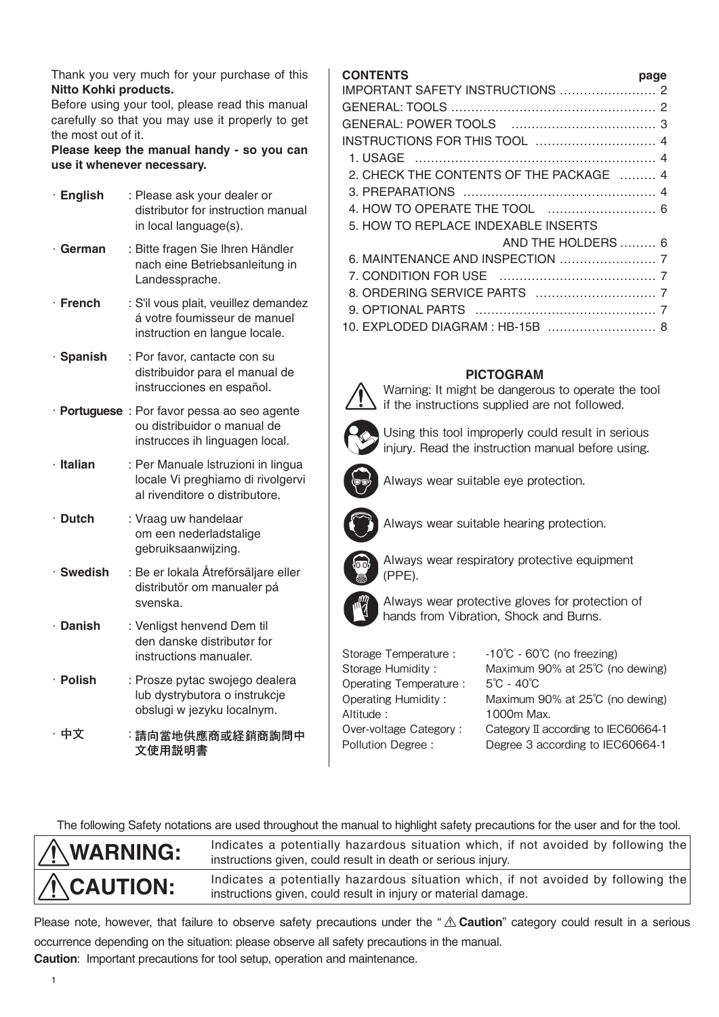Thank you very much for your purchase of this **Nitto Kohki products.**

Before using your tool, please read this manual carefully so that you may use it properly to get the most out of it.

**Please keep the manual handy - so you can use it whenever necessary.**

| $\cdot$ English | : Please ask your dealer or<br>distributor for instruction manual<br>in local language(s).                    |
|-----------------|---------------------------------------------------------------------------------------------------------------|
| ∙ German        | : Bitte fragen Sie Ihren Händler<br>nach eine Betriebsanleitung in<br>Landessprache.                          |
| · French        | : S'il vous plait, veuillez demandez<br>á votre foumisseur de manuel<br>instruction en langue locale.         |
| · Spanish       | : Por favor, cantacte con su<br>distribuidor para el manual de<br>instrucciones en español.                   |
|                 | · Portuguese : Por favor pessa ao seo agente<br>ou distribuidor o manual de<br>instrucces ih linguagen local. |
| · Italian       | : Per Manuale Istruzioni in lingua<br>locale Vi preghiamo di rivolgervi<br>al rivenditore o distributore.     |
| $\cdot$ Dutch   | : Vraag uw handelaar<br>om een nederladstalige<br>gebruiksaanwijzing.                                         |
| $\cdot$ Swedish | : Be er lokala Åtreförsäljare eller<br>distributör om manualer pá<br>svenska.                                 |
| $\cdot$ Danish  | : Venligst henvend Dem til<br>den danske distributør for<br>instructions manualer.                            |
| $\cdot$ Polish  | : Prosze pytac swojego dealera<br>lub dystrybutora o instrukcje<br>obslugi w jezyku localnym.                 |
| ・中文             | :請向當地供應商或経銷商詢問中<br>文使用説明書                                                                                     |

## **CONTENTS page**

|                                         | puyu |
|-----------------------------------------|------|
|                                         |      |
|                                         |      |
|                                         |      |
|                                         |      |
|                                         |      |
| 2. CHECK THE CONTENTS OF THE PACKAGE  4 |      |
|                                         |      |
|                                         |      |
| 5. HOW TO REPLACE INDEXABLE INSERTS     |      |
| AND THE HOLDERS  6                      |      |
|                                         |      |
|                                         |      |
|                                         |      |
|                                         |      |
| 10. EXPLODED DIAGRAM : HB-15B  8        |      |

## **PICTOGRAM**

Warning: It might be dangerous to operate the tool if the instructions supplied are not followed.

Using this tool improperly could result in serious injury. Read the instruction manual before using.



Always wear suitable eye protection.



Always wear suitable hearing protection.



Always wear respiratory protective equipment (PPE).



Always wear protective gloves for protection of hands from Vibration, Shock and Burns.

| Storage Temperature:       | $-10^{\circ}$ C - 60 $^{\circ}$ C (no freezing) |
|----------------------------|-------------------------------------------------|
| Storage Humidity:          | Maximum 90% at 25°C (no dewing)                 |
| Operating Temperature:     | $5^{\circ}$ C - 40 $^{\circ}$ C                 |
| <b>Operating Humidity:</b> | Maximum 90% at 25°C (no dewing)                 |
| Altitude:                  | 1000m Max.                                      |
| Over-voltage Category:     | Category II according to IEC60664-1             |
| Pollution Degree:          | Degree 3 according to IEC60664-1                |
|                            |                                                 |

The following Safety notations are used throughout the manual to highlight safety precautions for the user and for the tool.



**WARNING:** Indicates a potentially hazardous situation which, if not avoided by following the intervalsed by following the intervalsed by following the intervalsed by following the intervalsed by formulations of the could instructions given, could result in death or serious injury.

**CAUTION:** Indicates a potentially hazardous situation which, if not avoided by following the interval of the interval of the state of the interval demander instructions given, could result in injury or material damage.

Please note, however, that failure to observe safety precautions under the "  $\triangle$  Caution" category could result in a serious occurrence depending on the situation: please observe all safety precautions in the manual. **Caution**: Important precautions for tool setup, operation and maintenance.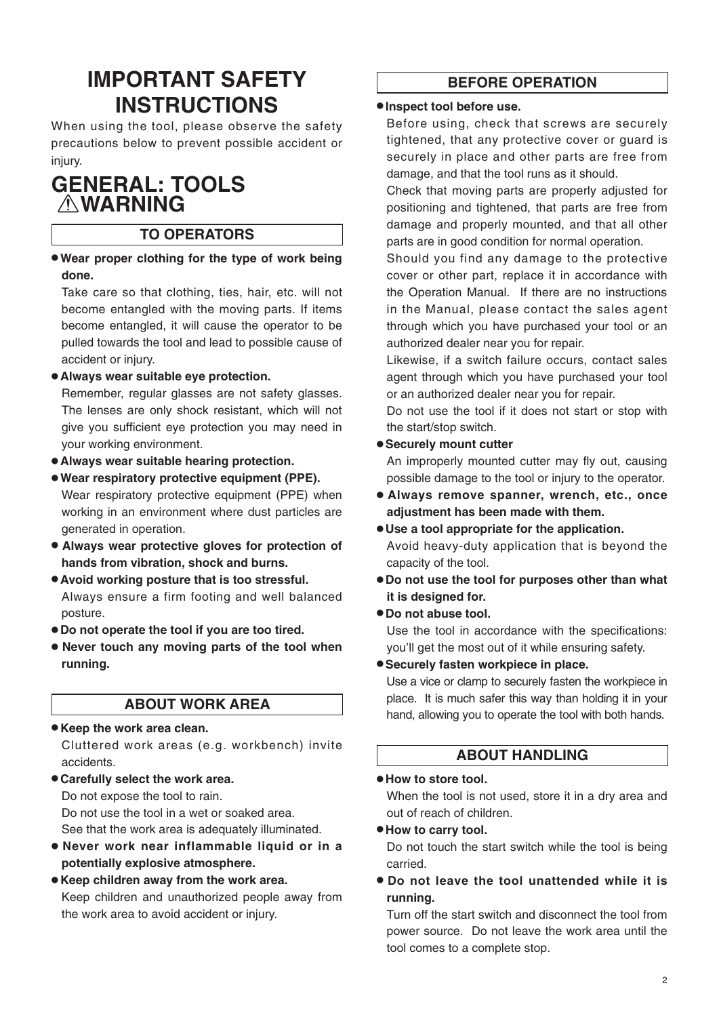# **IMPORTANT SAFETY INSTRUCTIONS**

When using the tool, please observe the safety precautions below to prevent possible accident or injury.

# **GENERAL: TOOLS WARNING**

## **TO OPERATORS**

● **Wear proper clothing for the type of work being done.**

Take care so that clothing, ties, hair, etc. will not become entangled with the moving parts. If items become entangled, it will cause the operator to be pulled towards the tool and lead to possible cause of accident or injury.

● **Always wear suitable eye protection.** 

Remember, regular glasses are not safety glasses. The lenses are only shock resistant, which will not give you sufficient eye protection you may need in your working environment.

- **Always wear suitable hearing protection.**
- **Wear respiratory protective equipment (PPE).**  Wear respiratory protective equipment (PPE) when working in an environment where dust particles are generated in operation.
- **Always wear protective gloves for protection of hands from vibration, shock and burns.**
- **Avoid working posture that is too stressful.**  Always ensure a firm footing and well balanced posture.
- **Do not operate the tool if you are too tired.**
- **Never touch any moving parts of the tool when running.**

## **ABOUT WORK AREA**

● **Keep the work area clean.**

Cluttered work areas (e.g. workbench) invite accidents.

● **Carefully select the work area.** Do not expose the tool to rain. Do not use the tool in a wet or soaked area.

See that the work area is adequately illuminated.

- **Never work near inflammable liquid or in a potentially explosive atmosphere.**
- **Keep children away from the work area.** Keep children and unauthorized people away from the work area to avoid accident or injury.

# **BEFORE OPERATION**

#### ● **Inspect tool before use.**

Before using, check that screws are securely tightened, that any protective cover or guard is securely in place and other parts are free from damage, and that the tool runs as it should.

Check that moving parts are properly adjusted for positioning and tightened, that parts are free from damage and properly mounted, and that all other parts are in good condition for normal operation.

Should you find any damage to the protective cover or other part, replace it in accordance with the Operation Manual. If there are no instructions in the Manual, please contact the sales agent through which you have purchased your tool or an authorized dealer near you for repair.

Likewise, if a switch failure occurs, contact sales agent through which you have purchased your tool or an authorized dealer near you for repair.

Do not use the tool if it does not start or stop with the start/stop switch.

#### ● **Securely mount cutter**

An improperly mounted cutter may fly out, causing possible damage to the tool or injury to the operator.

- **Always remove spanner, wrench, etc., once adjustment has been made with them.**
- **Use a tool appropriate for the application.** Avoid heavy-duty application that is beyond the capacity of the tool.
- **Do not use the tool for purposes other than what it is designed for.**

### ● **Do not abuse tool.**

Use the tool in accordance with the specifications: you'll get the most out of it while ensuring safety.

● **Securely fasten workpiece in place.**

Use a vice or clamp to securely fasten the workpiece in place. It is much safer this way than holding it in your hand, allowing you to operate the tool with both hands.

## **ABOUT HANDLING**

#### ● **How to store tool.**

When the tool is not used, store it in a dry area and out of reach of children.

#### ● **How to carry tool.**

Do not touch the start switch while the tool is being carried.

● **Do not leave the tool unattended while it is running.**

Turn off the start switch and disconnect the tool from power source. Do not leave the work area until the tool comes to a complete stop.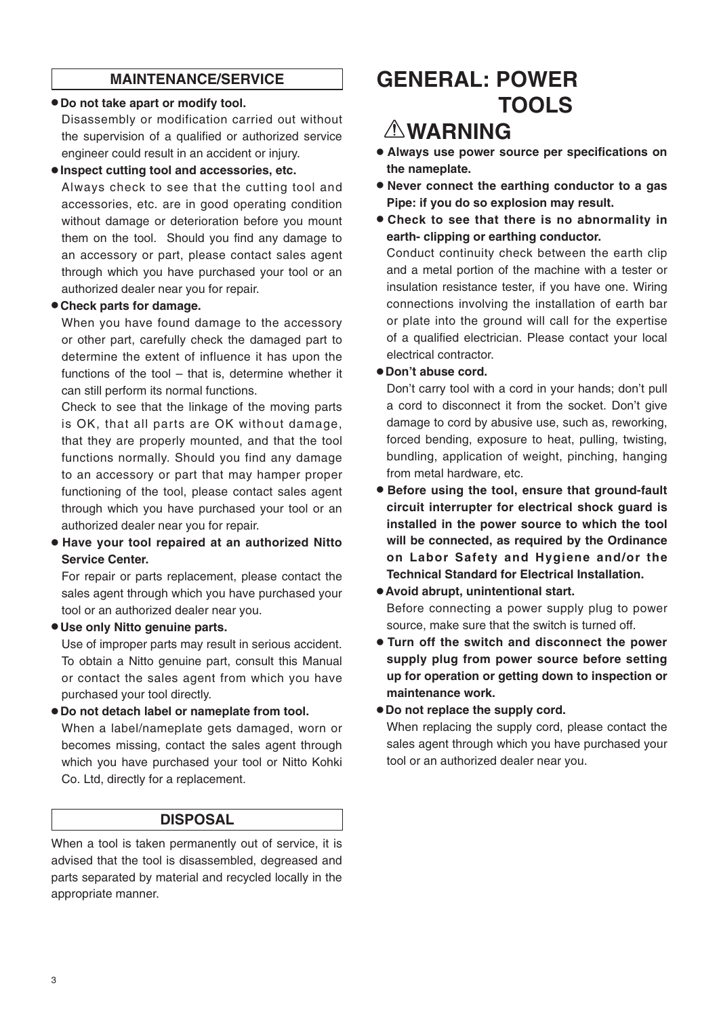# **MAINTENANCE/SERVICE**

#### ● **Do not take apart or modify tool.**

Disassembly or modification carried out without the supervision of a qualified or authorized service engineer could result in an accident or injury.

#### ● **Inspect cutting tool and accessories, etc.**

Always check to see that the cutting tool and accessories, etc. are in good operating condition without damage or deterioration before you mount them on the tool. Should you find any damage to an accessory or part, please contact sales agent through which you have purchased your tool or an authorized dealer near you for repair.

### ● **Check parts for damage.**

When you have found damage to the accessory or other part, carefully check the damaged part to determine the extent of influence it has upon the functions of the tool – that is, determine whether it can still perform its normal functions.

Check to see that the linkage of the moving parts is OK, that all parts are OK without damage, that they are properly mounted, and that the tool functions normally. Should you find any damage to an accessory or part that may hamper proper functioning of the tool, please contact sales agent through which you have purchased your tool or an authorized dealer near you for repair.

● **Have your tool repaired at an authorized Nitto Service Center.** 

For repair or parts replacement, please contact the sales agent through which you have purchased your tool or an authorized dealer near you.

● **Use only Nitto genuine parts.** 

Use of improper parts may result in serious accident. To obtain a Nitto genuine part, consult this Manual or contact the sales agent from which you have purchased your tool directly.

● **Do not detach label or nameplate from tool.**  When a label/nameplate gets damaged, worn or becomes missing, contact the sales agent through which you have purchased your tool or Nitto Kohki Co. Ltd, directly for a replacement.

## **DISPOSAL**

When a tool is taken permanently out of service, it is advised that the tool is disassembled, degreased and parts separated by material and recycled locally in the appropriate manner.

# **GENERAL: POWER TOOLS**

# **WARNING**

- **Always use power source per specifications on the nameplate.**
- **Never connect the earthing conductor to a gas Pipe: if you do so explosion may result.**
- **Check to see that there is no abnormality in earth- clipping or earthing conductor.**

Conduct continuity check between the earth clip and a metal portion of the machine with a tester or insulation resistance tester, if you have one. Wiring connections involving the installation of earth bar or plate into the ground will call for the expertise of a qualified electrician. Please contact your local electrical contractor.

### ● **Don't abuse cord.**

Don't carry tool with a cord in your hands; don't pull a cord to disconnect it from the socket. Don't give damage to cord by abusive use, such as, reworking, forced bending, exposure to heat, pulling, twisting, bundling, application of weight, pinching, hanging from metal hardware, etc.

- **Before using the tool, ensure that ground-fault circuit interrupter for electrical shock guard is installed in the power source to which the tool will be connected, as required by the Ordinance on Labor Safety and Hygiene and/or the Technical Standard for Electrical Installation.**
- **Avoid abrupt, unintentional start.** Before connecting a power supply plug to power source, make sure that the switch is turned off.
- **Turn off the switch and disconnect the power supply plug from power source before setting up for operation or getting down to inspection or maintenance work.**

### ● **Do not replace the supply cord.**

When replacing the supply cord, please contact the sales agent through which you have purchased your tool or an authorized dealer near you.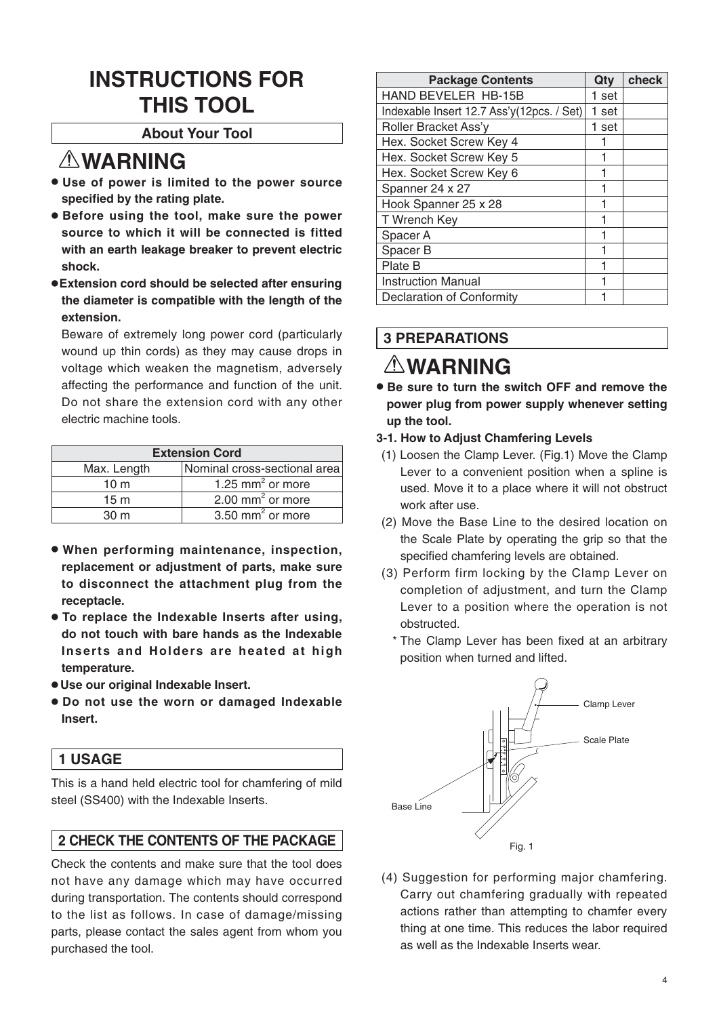# **INSTRUCTIONS FOR THIS TOOL**

## **About Your Tool**

# **WARNING**

- **Use of power is limited to the power source specified by the rating plate.**
- **Before using the tool, make sure the power source to which it will be connected is fitted with an earth leakage breaker to prevent electric shock.**
- ●**Extension cord should be selected after ensuring the diameter is compatible with the length of the extension.**

Beware of extremely long power cord (particularly wound up thin cords) as they may cause drops in voltage which weaken the magnetism, adversely affecting the performance and function of the unit. Do not share the extension cord with any other electric machine tools.

| <b>Extension Cord</b> |                                |  |
|-----------------------|--------------------------------|--|
| Max. Length           | Nominal cross-sectional area   |  |
| 10 <sub>m</sub>       | 1.25 mm <sup>2</sup> or more   |  |
| 15 <sub>m</sub>       | $2.00$ mm <sup>2</sup> or more |  |
| 30 <sub>m</sub>       | 3.50 mm <sup>2</sup> or more   |  |

- **When performing maintenance, inspection, replacement or adjustment of parts, make sure to disconnect the attachment plug from the receptacle.**
- **To replace the Indexable Inserts after using, do not touch with bare hands as the Indexable Inserts and Holders are heated at high temperature.**
- **Use our original Indexable Insert.**
- **Do not use the worn or damaged Indexable Insert.**

## **1 USAGE**

This is a hand held electric tool for chamfering of mild steel (SS400) with the Indexable Inserts.

# **2 CHECK THE CONTENTS OF THE PACKAGE**

Check the contents and make sure that the tool does not have any damage which may have occurred during transportation. The contents should correspond to the list as follows. In case of damage/missing parts, please contact the sales agent from whom you purchased the tool.

| <b>Package Contents</b>                   | Qty   | check |
|-------------------------------------------|-------|-------|
| <b>HAND BEVELER HB-15B</b>                | 1 set |       |
| Indexable Insert 12.7 Ass'y(12pcs. / Set) | 1 set |       |
| Roller Bracket Ass'y                      | 1 set |       |
| Hex. Socket Screw Key 4                   |       |       |
| Hex. Socket Screw Key 5                   |       |       |
| Hex. Socket Screw Key 6                   |       |       |
| Spanner 24 x 27                           |       |       |
| Hook Spanner 25 x 28                      | 1     |       |
| T Wrench Key                              |       |       |
| Spacer A                                  | 1     |       |
| Spacer B                                  |       |       |
| Plate B                                   |       |       |
| <b>Instruction Manual</b>                 |       |       |
| <b>Declaration of Conformity</b>          |       |       |

# **3 PREPARATIONS**

# **WARNING**

- **Be sure to turn the switch OFF and remove the power plug from power supply whenever setting up the tool.**
- **3-1. How to Adjust Chamfering Levels**
- (1) Loosen the Clamp Lever. (Fig.1) Move the Clamp Lever to a convenient position when a spline is used. Move it to a place where it will not obstruct work after use.
- (2) Move the Base Line to the desired location on the Scale Plate by operating the grip so that the specified chamfering levels are obtained.
- (3) Perform firm locking by the Clamp Lever on completion of adjustment, and turn the Clamp Lever to a position where the operation is not obstructed.
	- \* The Clamp Lever has been fixed at an arbitrary position when turned and lifted.



(4) Suggestion for performing major chamfering. Carry out chamfering gradually with repeated actions rather than attempting to chamfer every thing at one time. This reduces the labor required as well as the Indexable Inserts wear.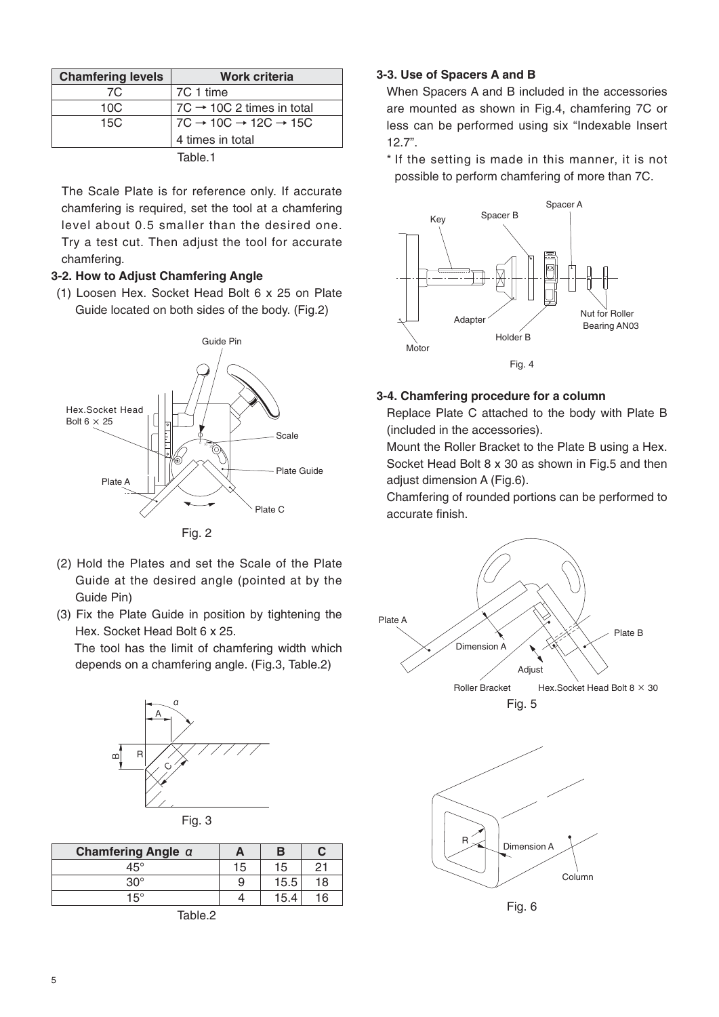| <b>Chamfering levels</b> | Work criteria                                        |
|--------------------------|------------------------------------------------------|
| 7C                       | 7C 1 time                                            |
| 10C                      | 7C $\rightarrow$ 10C 2 times in total                |
| 15C                      | $7C \rightarrow 10C \rightarrow 12C \rightarrow 15C$ |
|                          | 4 times in total                                     |
|                          | Table 1                                              |

The Scale Plate is for reference only. If accurate chamfering is required, set the tool at a chamfering level about 0.5 smaller than the desired one. Try a test cut. Then adjust the tool for accurate chamfering.

#### **3-2. How to Adjust Chamfering Angle**

(1) Loosen Hex. Socket Head Bolt 6 x 25 on Plate Guide located on both sides of the body. (Fig.2)



Fig. 2

- (2) Hold the Plates and set the Scale of the Plate Guide at the desired angle (pointed at by the Guide Pin)
- (3) Fix the Plate Guide in position by tightening the Hex. Socket Head Bolt 6 x 25.

 The tool has the limit of chamfering width which depends on a chamfering angle. (Fig.3, Table.2)





| Chamfering Angle a |    |      |    |  |
|--------------------|----|------|----|--|
| 45°                | 15 | 15   | 21 |  |
| $30^{\circ}$       | 9  | 15.5 | 18 |  |
| $15^\circ$         |    | 15.4 | 16 |  |
| -                  |    |      |    |  |

Table.2

#### **3-3. Use of Spacers A and B**

When Spacers A and B included in the accessories are mounted as shown in Fig.4, chamfering 7C or less can be performed using six "Indexable Insert 12.7".

\* If the setting is made in this manner, it is not possible to perform chamfering of more than 7C.



#### **3-4. Chamfering procedure for a column**

Replace Plate C attached to the body with Plate B (included in the accessories).

Mount the Roller Bracket to the Plate B using a Hex. Socket Head Bolt 8 x 30 as shown in Fig.5 and then adjust dimension A (Fig.6).

Chamfering of rounded portions can be performed to accurate finish.





Fig. 6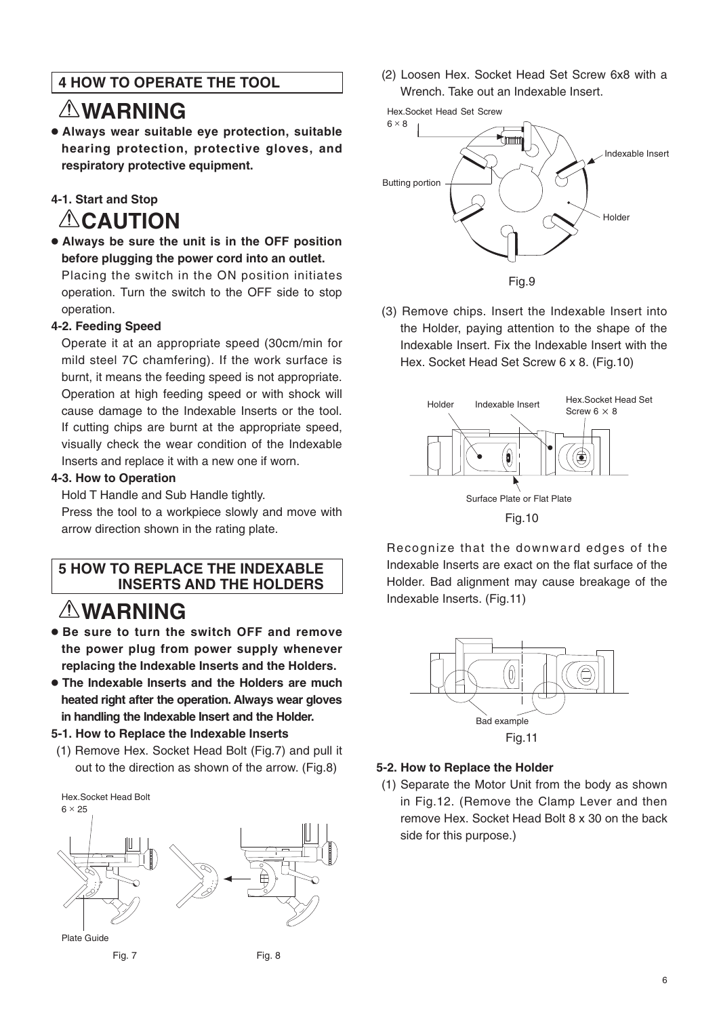# **4 HOW TO OPERATE THE TOOL**

# **WARNING**

● **Always wear suitable eye protection, suitable hearing protection, protective gloves, and respiratory protective equipment.**

# **4-1. Start and Stop ACAUTION**

● **Always be sure the unit is in the OFF position before plugging the power cord into an outlet.** Placing the switch in the ON position initiates operation. Turn the switch to the OFF side to stop

### **4-2. Feeding Speed**

operation.

Operate it at an appropriate speed (30cm/min for mild steel 7C chamfering). If the work surface is burnt, it means the feeding speed is not appropriate. Operation at high feeding speed or with shock will cause damage to the Indexable Inserts or the tool. If cutting chips are burnt at the appropriate speed, visually check the wear condition of the Indexable Inserts and replace it with a new one if worn.

#### **4-3. How to Operation**

Hold T Handle and Sub Handle tightly.

Press the tool to a workpiece slowly and move with arrow direction shown in the rating plate.

## **5 HOW TO REPLACE THE INDEXABLE INSERTS AND THE HOLDERS**

# **WARNING**

- **Be sure to turn the switch OFF and remove the power plug from power supply whenever replacing the Indexable Inserts and the Holders.**
- **The Indexable Inserts and the Holders are much heated right after the operation. Always wear gloves in handling the Indexable Insert and the Holder.**

#### **5-1. How to Replace the Indexable Inserts**

(1) Remove Hex. Socket Head Bolt (Fig.7) and pull it out to the direction as shown of the arrow. (Fig.8)



(2) Loosen Hex. Socket Head Set Screw 6x8 with a Wrench. Take out an Indexable Insert.



(3) Remove chips. Insert the Indexable Insert into the Holder, paying attention to the shape of the Indexable Insert. Fix the Indexable Insert with the Hex. Socket Head Set Screw 6 x 8. (Fig.10)



Recognize that the downward edges of the Indexable Inserts are exact on the flat surface of the Holder. Bad alignment may cause breakage of the Indexable Inserts. (Fig.11)



#### **5-2. How to Replace the Holder**

(1) Separate the Motor Unit from the body as shown in Fig.12. (Remove the Clamp Lever and then remove Hex. Socket Head Bolt 8 x 30 on the back side for this purpose.)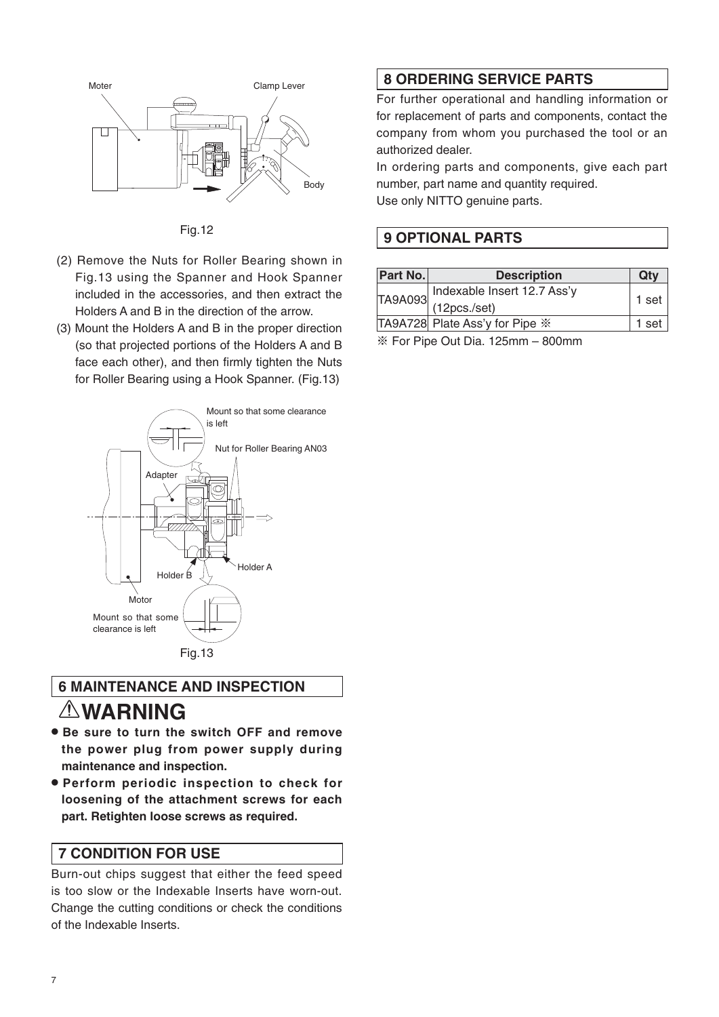

Fig.12

- (2) Remove the Nuts for Roller Bearing shown in Fig.13 using the Spanner and Hook Spanner included in the accessories, and then extract the Holders A and B in the direction of the arrow.
- (3) Mount the Holders A and B in the proper direction (so that projected portions of the Holders A and B face each other), and then firmly tighten the Nuts for Roller Bearing using a Hook Spanner. (Fig.13)



# **6 MAINTENANCE AND INSPECTION WARNING**

- **Be sure to turn the switch OFF and remove the power plug from power supply during maintenance and inspection.**
- **Perform periodic inspection to check for loosening of the attachment screws for each part. Retighten loose screws as required.**

# **7 CONDITION FOR USE**

Burn-out chips suggest that either the feed speed is too slow or the Indexable Inserts have worn-out. Change the cutting conditions or check the conditions of the Indexable Inserts.

# **8 ORDERING SERVICE PARTS**

For further operational and handling information or for replacement of parts and components, contact the company from whom you purchased the tool or an authorized dealer.

In ordering parts and components, give each part number, part name and quantity required.

Use only NITTO genuine parts.

# **9 OPTIONAL PARTS**

| Part No. | <b>Description</b>                | Qty   |
|----------|-----------------------------------|-------|
|          | Indexable Insert 12.7 Ass'y       |       |
|          | TA9A093 (12pcs./set)              | 1 set |
|          | TA9A728 Plate Ass'y for Pipe $\%$ | 1 set |
|          |                                   |       |

※ For Pipe Out Dia. 125mm – 800mm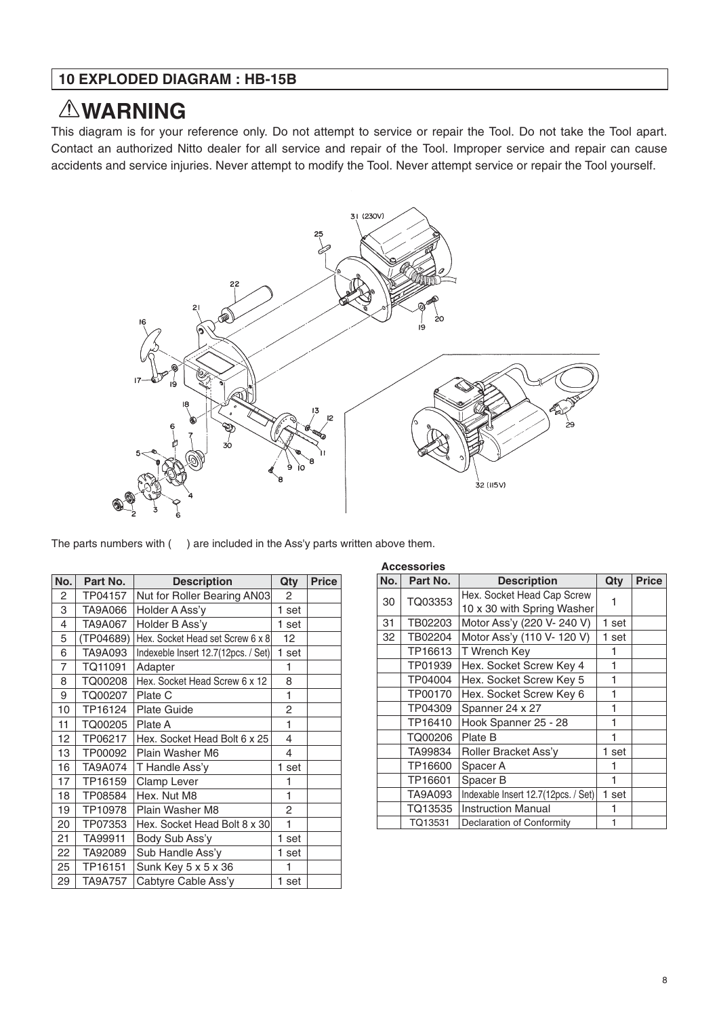## **10 EXPLODED DIAGRAM : HB-15B**

# **WARNING**

This diagram is for your reference only. Do not attempt to service or repair the Tool. Do not take the Tool apart. Contact an authorized Nitto dealer for all service and repair of the Tool. Improper service and repair can cause accidents and service injuries. Never attempt to modify the Tool. Never attempt service or repair the Tool yourself.



The parts numbers with ( ) are included in the Ass'y parts written above them.

| No. | Part No.       | <b>Description</b>                  | Qty   | <b>Price</b> |
|-----|----------------|-------------------------------------|-------|--------------|
| 2   | TP04157        | Nut for Roller Bearing AN03         | 2     |              |
| 3   | TA9A066        | Holder A Ass'y                      | 1 set |              |
| 4   | TA9A067        | Holder B Ass'y                      | 1 set |              |
| 5   | (TP04689)      | Hex. Socket Head set Screw 6 x 8    | 12    |              |
| 6   | TA9A093        | Indexeble Insert 12.7(12pcs. / Set) | 1 set |              |
| 7   | TQ11091        | Adapter                             | 1     |              |
| 8   | TQ00208        | Hex. Socket Head Screw 6 x 12       | 8     |              |
| 9   | TQ00207        | Plate C                             | 1     |              |
| 10  | TP16124        | <b>Plate Guide</b>                  | 2     |              |
| 11  | TQ00205        | Plate A                             | 1     |              |
| 12  | TP06217        | Hex. Socket Head Bolt 6 x 25        | 4     |              |
| 13  | TP00092        | Plain Washer M6                     | 4     |              |
| 16  | <b>TA9A074</b> | T Handle Ass'y                      | 1 set |              |
| 17  | TP16159        | Clamp Lever                         | 1     |              |
| 18  | TP08584        | Hex. Nut M8                         | 1     |              |
| 19  | TP10978        | Plain Washer M8                     | 2     |              |
| 20  | TP07353        | Hex. Socket Head Bolt 8 x 30        | 1     |              |
| 21  | TA99911        | Body Sub Ass'y                      | 1 set |              |
| 22  | TA92089        | Sub Handle Ass'y                    | 1 set |              |
| 25  | TP16151        | Sunk Key 5 x 5 x 36                 | 1     |              |
| 29  | <b>TA9A757</b> | Cabtyre Cable Ass'y                 | 1 set |              |

|     | <b>Accessories</b> |                                     |       |              |  |
|-----|--------------------|-------------------------------------|-------|--------------|--|
| No. | Part No.           | <b>Description</b>                  | Qty   | <b>Price</b> |  |
| 30  | TQ03353            | Hex. Socket Head Cap Screw          |       |              |  |
|     |                    | 10 x 30 with Spring Washer          |       |              |  |
| 31  | TB02203            | Motor Ass'y (220 V- 240 V)          | 1 set |              |  |
| 32  | TB02204            | Motor Ass'y (110 V- 120 V)          | 1 set |              |  |
|     | TP16613            | T Wrench Kev                        | 1     |              |  |
|     | TP01939            | Hex. Socket Screw Key 4             | 1     |              |  |
|     | TP04004            | Hex. Socket Screw Key 5             | 1     |              |  |
|     | TP00170            | Hex. Socket Screw Key 6             | 1     |              |  |
|     | TP04309            | Spanner 24 x 27                     | 1     |              |  |
|     | TP16410            | Hook Spanner 25 - 28                | 1     |              |  |
|     | TQ00206            | Plate B                             |       |              |  |
|     | TA99834            | Roller Bracket Ass'y                | 1 set |              |  |
|     | TP16600            | Spacer A                            |       |              |  |
|     | TP16601            | Spacer B                            |       |              |  |
|     | TA9A093            | Indexable Insert 12.7(12pcs. / Set) | 1 set |              |  |
|     | TQ13535            | <b>Instruction Manual</b>           |       |              |  |
|     | TQ13531            | Declaration of Conformity           |       |              |  |